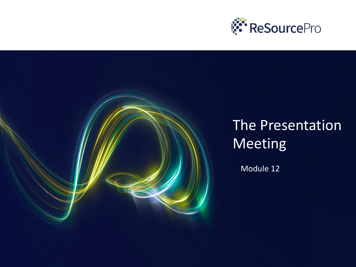

## The Presentation Meeting

Module 12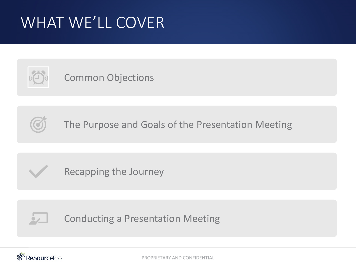# WHAT WE'LL COVER



#### Common Objections



The Purpose and Goals of the Presentation Meeting



Recapping the Journey



Conducting a Presentation Meeting

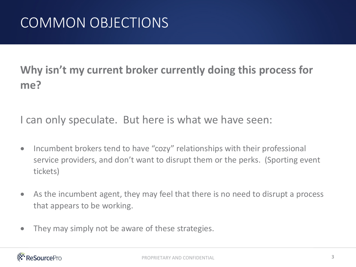#### **Why isn't my current broker currently doing this process for me?**

I can only speculate. But here is what we have seen:

- Incumbent brokers tend to have "cozy" relationships with their professional service providers, and don't want to disrupt them or the perks. (Sporting event tickets)
- As the incumbent agent, they may feel that there is no need to disrupt a process that appears to be working.
- They may simply not be aware of these strategies.

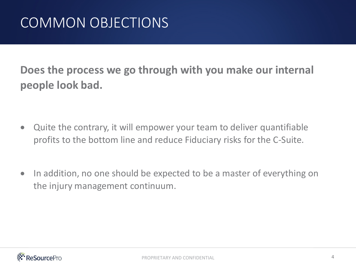**Does the process we go through with you make our internal people look bad.**

- Quite the contrary, it will empower your team to deliver quantifiable profits to the bottom line and reduce Fiduciary risks for the C-Suite.
- In addition, no one should be expected to be a master of everything on the injury management continuum.

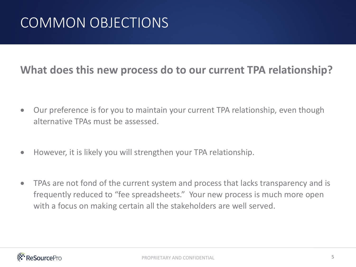#### **What does this new process do to our current TPA relationship?**

- Our preference is for you to maintain your current TPA relationship, even though alternative TPAs must be assessed.
- However, it is likely you will strengthen your TPA relationship.
- TPAs are not fond of the current system and process that lacks transparency and is frequently reduced to "fee spreadsheets." Your new process is much more open with a focus on making certain all the stakeholders are well served.

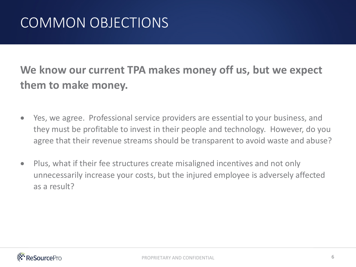#### **We know our current TPA makes money off us, but we expect them to make money.**

- Yes, we agree. Professional service providers are essential to your business, and they must be profitable to invest in their people and technology. However, do you agree that their revenue streams should be transparent to avoid waste and abuse?
- Plus, what if their fee structures create misaligned incentives and not only unnecessarily increase your costs, but the injured employee is adversely affected as a result?

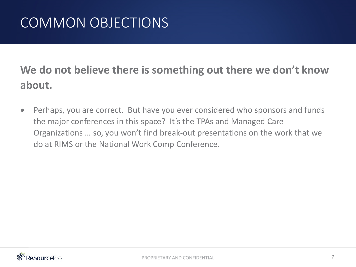#### **We do not believe there is something out there we don't know about.**

• Perhaps, you are correct. But have you ever considered who sponsors and funds the major conferences in this space? It's the TPAs and Managed Care Organizations … so, you won't find break-out presentations on the work that we do at RIMS or the National Work Comp Conference.

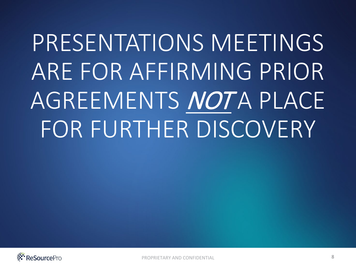# PRESENTATIONS MEETINGS ARE FOR AFFIRMING PRIOR AGREEMENTS NOTA PLACE FOR FURTHER DISCOVERY

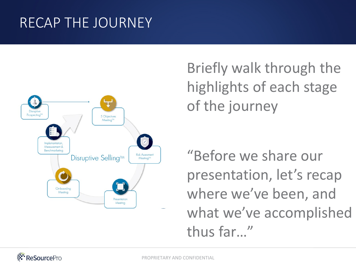## RECAP THE JOURNEY



Briefly walk through the highlights of each stage of the journey

"Before we share our presentation, let's recap where we've been, and what we've accomplished thus far…"

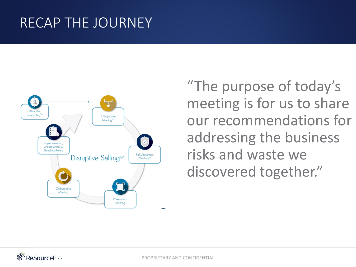#### RECAP THE JOURNEY



"The purpose of today's meeting is for us to share our recommendations for addressing the business risks and waste we discovered together."

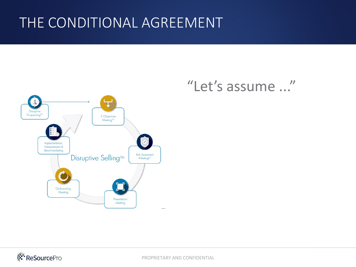#### THE CONDITIONAL AGREEMENT



#### "Let's assume ..."

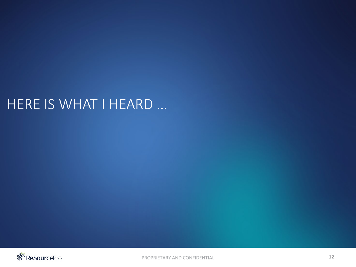#### HERE IS WHAT I HEARD …

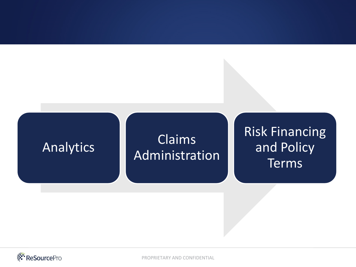

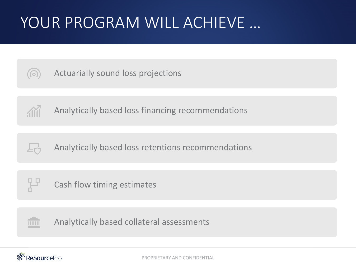# YOUR PROGRAM WILL ACHIEVE …



Actuarially sound loss projections



Analytically based loss financing recommendations



Analytically based loss retentions recommendations



Cash flow timing estimates



Analytically based collateral assessments

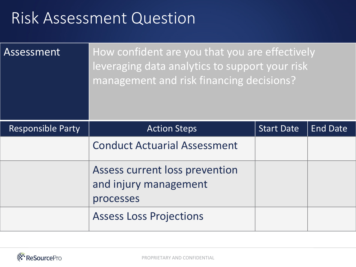| Assessment               | How confident are you that you are effectively<br>leveraging data analytics to support your risk<br>management and risk financing decisions? |                   |                 |
|--------------------------|----------------------------------------------------------------------------------------------------------------------------------------------|-------------------|-----------------|
| <b>Responsible Party</b> | <b>Action Steps</b>                                                                                                                          | <b>Start Date</b> | <b>End Date</b> |
|                          | <b>Conduct Actuarial Assessment</b>                                                                                                          |                   |                 |
|                          | Assess current loss prevention<br>and injury management<br>processes                                                                         |                   |                 |
|                          | <b>Assess Loss Projections</b>                                                                                                               |                   |                 |

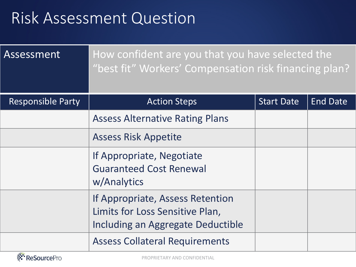| Assessment               | How confident are you that you have selected the<br>"best fit" Workers' Compensation risk financing plan? |                   |                 |
|--------------------------|-----------------------------------------------------------------------------------------------------------|-------------------|-----------------|
| <b>Responsible Party</b> | <b>Action Steps</b>                                                                                       | <b>Start Date</b> | <b>End Date</b> |
|                          | <b>Assess Alternative Rating Plans</b>                                                                    |                   |                 |
|                          | <b>Assess Risk Appetite</b>                                                                               |                   |                 |
|                          | If Appropriate, Negotiate<br><b>Guaranteed Cost Renewal</b><br>w/Analytics                                |                   |                 |
|                          | If Appropriate, Assess Retention<br>Limits for Loss Sensitive Plan,<br>Including an Aggregate Deductible  |                   |                 |
|                          | <b>Assess Collateral Requirements</b>                                                                     |                   |                 |

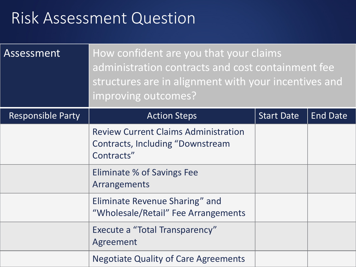| Assessment               | How confident are you that your claims<br>administration contracts and cost containment fee<br>structures are in alignment with your incentives and<br>improving outcomes? |                   |                 |
|--------------------------|----------------------------------------------------------------------------------------------------------------------------------------------------------------------------|-------------------|-----------------|
| <b>Responsible Party</b> | <b>Action Steps</b>                                                                                                                                                        | <b>Start Date</b> | <b>End Date</b> |
|                          | <b>Review Current Claims Administration</b><br>Contracts, Including "Downstream"<br>Contracts"                                                                             |                   |                 |
|                          | Eliminate % of Savings Fee<br>Arrangements                                                                                                                                 |                   |                 |
|                          | Eliminate Revenue Sharing" and<br>"Wholesale/Retail" Fee Arrangements                                                                                                      |                   |                 |
|                          | <b>Execute a "Total Transparency"</b><br>Agreement                                                                                                                         |                   |                 |
|                          | <b>Negotiate Quality of Care Agreements</b>                                                                                                                                |                   |                 |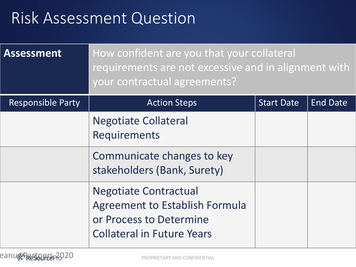| <b>Assessment</b>        | How confident are you that your collateral<br>requirements are not excessive and in alignment with<br>your contractual agreements?    |                   |                 |
|--------------------------|---------------------------------------------------------------------------------------------------------------------------------------|-------------------|-----------------|
| <b>Responsible Party</b> | <b>Action Steps</b>                                                                                                                   | <b>Start Date</b> | <b>End Date</b> |
|                          | <b>Negotiate Collateral</b><br>Requirements                                                                                           |                   |                 |
|                          | Communicate changes to key<br>stakeholders (Bank, Surety)                                                                             |                   |                 |
|                          | <b>Negotiate Contractual</b><br><b>Agreement to Establish Formula</b><br>or Process to Determine<br><b>Collateral in Future Years</b> |                   |                 |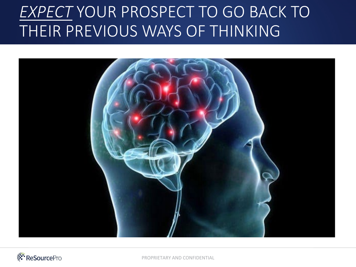# *EXPECT* YOUR PROSPECT TO GO BACK TO THEIR PREVIOUS WAYS OF THINKING